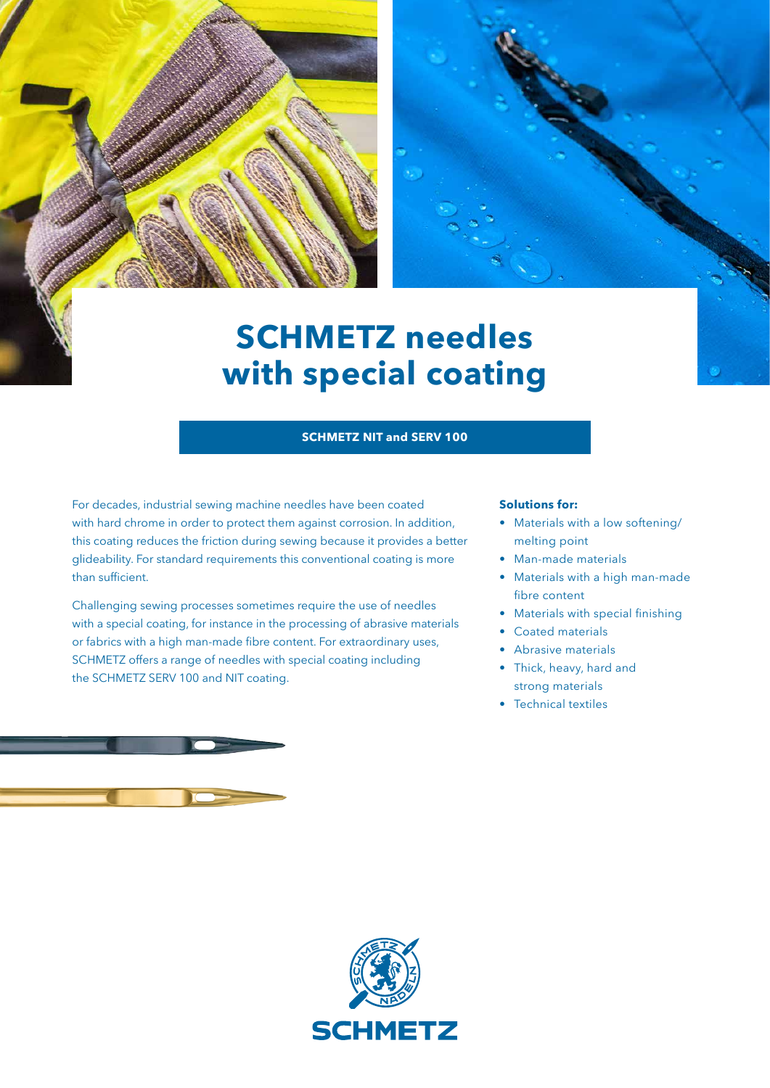

# **SCHMETZ needles with special coating**

## **SCHMETZ NIT and SERV 100**

For decades, industrial sewing machine needles have been coated with hard chrome in order to protect them against corrosion. In addition, this coating reduces the friction during sewing because it provides a better glideability. For standard requirements this conventional coating is more than sufficient.

Challenging sewing processes sometimes require the use of needles with a special coating, for instance in the processing of abrasive materials or fabrics with a high man-made fibre content. For extraordinary uses, SCHMETZ offers a range of needles with special coating including the SCHMETZ SERV 100 and NIT coating.

#### **Solutions for:**

- Materials with a low softening/ melting point
- Man-made materials
- Materials with a high man-made fibre content
- Materials with special finishing
- Coated materials
- Abrasive materials
- Thick, heavy, hard and strong materials
- Technical textiles

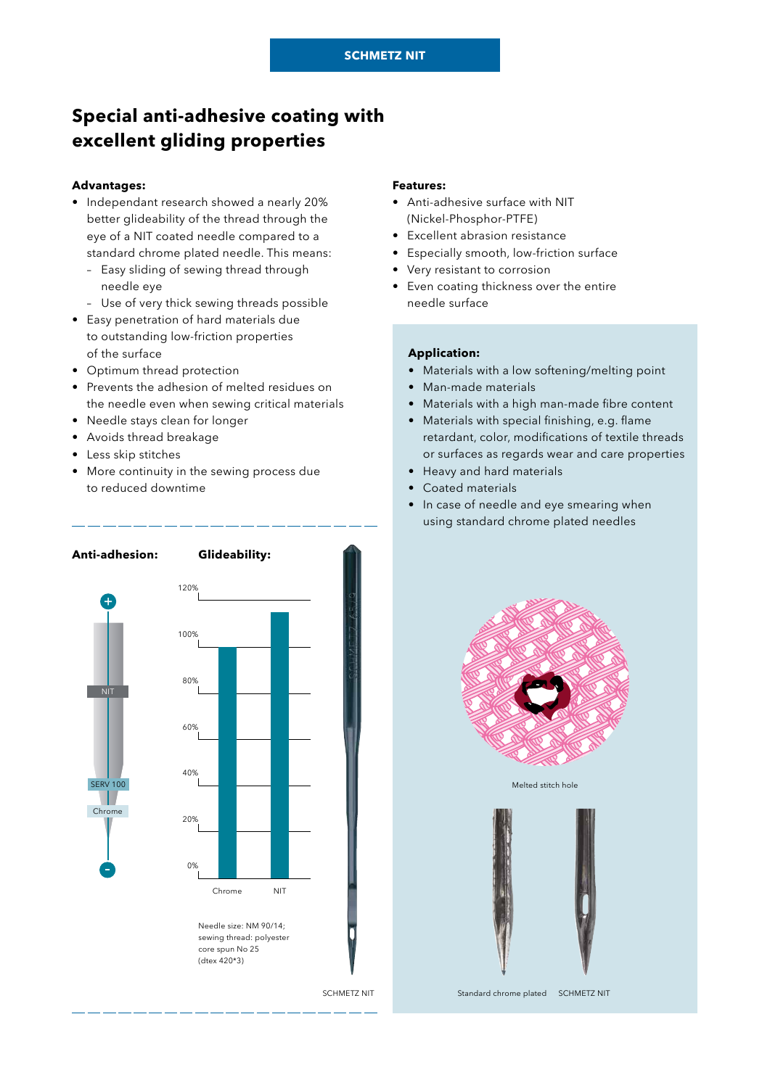# **Special anti-adhesive coating with excellent gliding properties**

#### **Advantages:**

- Independant research showed a nearly 20% better glideability of the thread through the eye of a NIT coated needle compared to a standard chrome plated needle. This means:
	- Easy sliding of sewing thread through needle eye
	- Use of very thick sewing threads possible
- Easy penetration of hard materials due to outstanding low-friction properties of the surface
- Optimum thread protection
- Prevents the adhesion of melted residues on the needle even when sewing critical materials
- Needle stays clean for longer
- Avoids thread breakage
- Less skip stitches
- More continuity in the sewing process due to reduced downtime



#### **Features:**

- Anti-adhesive surface with NIT (Nickel-Phosphor-PTFE)
- Excellent abrasion resistance
- Especially smooth, low-friction surface
- Very resistant to corrosion
- Even coating thickness over the entire needle surface

#### **Application:**

- Materials with a low softening/melting point
- Man-made materials
- Materials with a high man-made fibre content
- Materials with special finishing, e.g. flame retardant, color, modifications of textile threads or surfaces as regards wear and care properties
- Heavy and hard materials
- Coated materials
- In case of needle and eye smearing when using standard chrome plated needles



Melted stitch hole



SCHMETZ NIT Standard chrome plated SCHMETZ NIT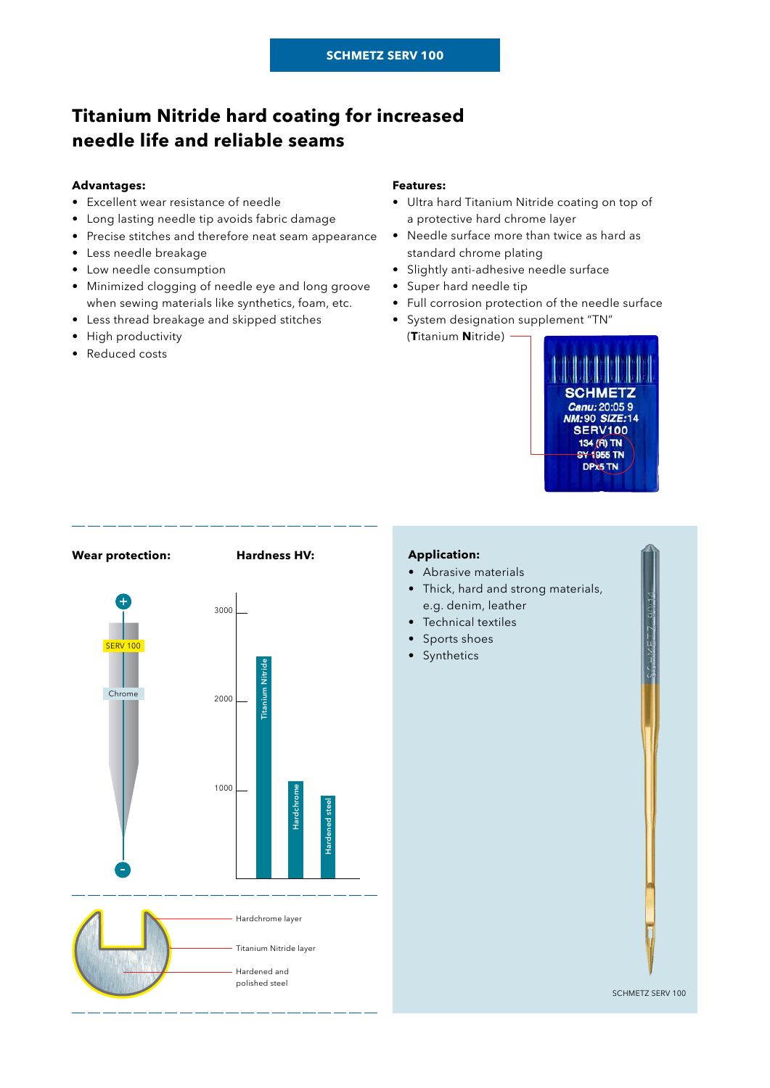# **Titanium Nitride hard coating for increased needle life and reliable seams**

#### **Advantages:**

- Excellent wear resistance of needle
- Long lasting needle tip avoids fabric damage
- Precise stitches and therefore neat seam appearance
- Less needle breakage
- Low needle consumption
- Minimized clogging of needle eye and long groove when sewing materials like synthetics, foam, etc.
- Less thread breakage and skipped stitches
- High productivity
- Reduced costs

### **Features:**

- Ultra hard Titanium Nitride coating on top of a protective hard chrome layer
- Needle surface more than twice as hard as standard chrome plating
- Slightly anti-adhesive needle surface
- Super hard needle tip
- Full corrosion protection of the needle surface
- System designation supplement "TN" (**T**itanium **N**itride)





#### **Application:**

- Abrasive materials
- Thick, hard and strong materials, e.g. denim, leather
- Technical textiles
- Sports shoes
- 

SCHMETZ SERV 100